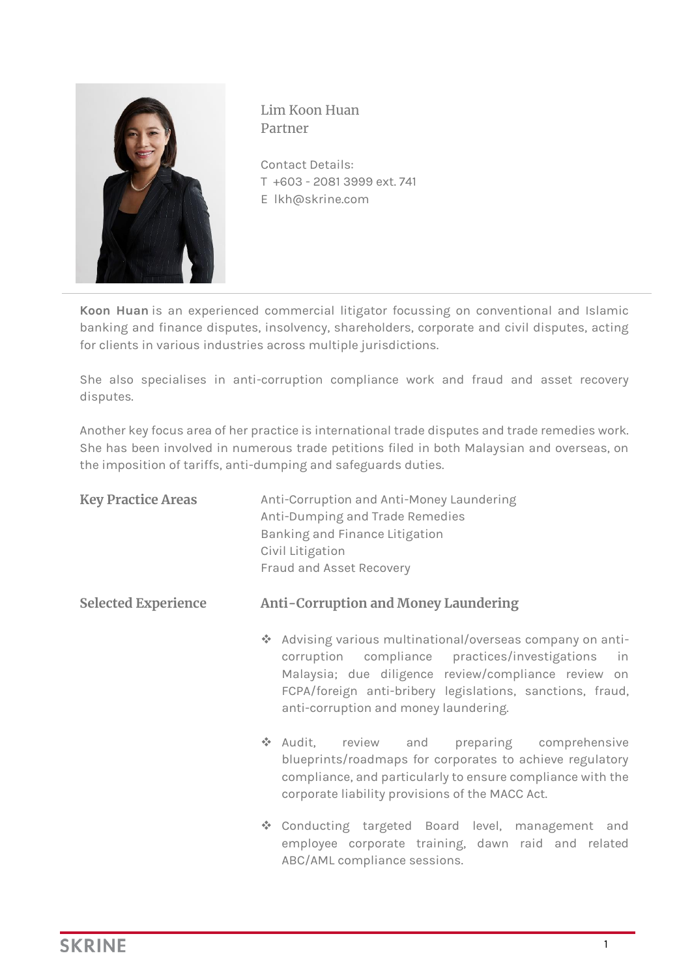

Lim Koon Huan Partner

Contact Details: T +603 - 2081 3999 ext. 741 E lkh@skrine.com

**Koon Huan** is an experienced commercial litigator focussing on conventional and Islamic banking and finance disputes, insolvency, shareholders, corporate and civil disputes, acting for clients in various industries across multiple jurisdictions.

She also specialises in anti-corruption compliance work and fraud and asset recovery disputes.

Another key focus area of her practice is international trade disputes and trade remedies work. She has been involved in numerous trade petitions filed in both Malaysian and overseas, on the imposition of tariffs, anti-dumping and safeguards duties.

| <b>Key Practice Areas</b>  | Anti-Corruption and Anti-Money Laundering<br>Anti-Dumping and Trade Remedies<br>Banking and Finance Litigation<br>Civil Litigation<br>Fraud and Asset Recovery                                                                                                               |
|----------------------------|------------------------------------------------------------------------------------------------------------------------------------------------------------------------------------------------------------------------------------------------------------------------------|
| <b>Selected Experience</b> | <b>Anti-Corruption and Money Laundering</b>                                                                                                                                                                                                                                  |
|                            | * Advising various multinational/overseas company on anti-<br>corruption compliance practices/investigations in<br>Malaysia; due diligence review/compliance review on<br>FCPA/foreign anti-bribery legislations, sanctions, fraud,<br>anti-corruption and money laundering. |
|                            | ❖ Audit, review and preparing comprehensive<br>blueprints/roadmaps for corporates to achieve regulatory<br>compliance, and particularly to ensure compliance with the<br>corporate liability provisions of the MACC Act.                                                     |
|                            | Conducting targeted Board level, management and<br>employee corporate training, dawn raid and related<br>ABC/AML compliance sessions.                                                                                                                                        |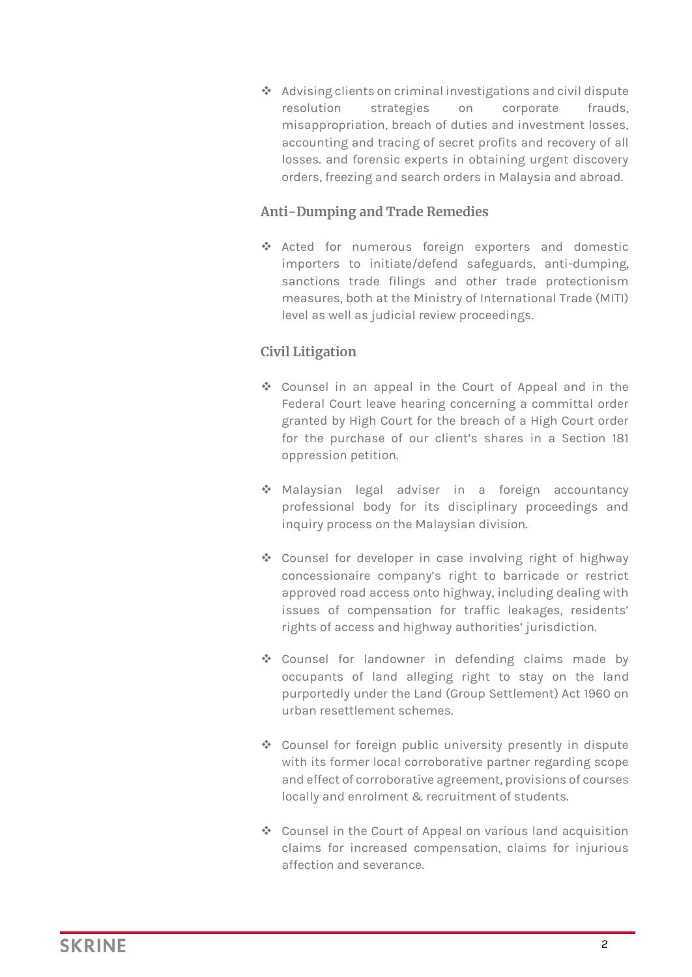❖ Advising clients on criminal investigations and civil dispute resolution strategies on corporate frauds, misappropriation, breach of duties and investment losses, accounting and tracing of secret profits and recovery of all losses. and forensic experts in obtaining urgent discovery orders, freezing and search orders in Malaysia and abroad.

## **Anti-Dumping and Trade Remedies**

❖ Acted for numerous foreign exporters and domestic importers to initiate/defend safeguards, anti-dumping, sanctions trade filings and other trade protectionism measures, both at the Ministry of International Trade (MITI) level as well as judicial review proceedings.

## **Civil Litigation**

- ❖ Counsel in an appeal in the Court of Appeal and in the Federal Court leave hearing concerning a committal order granted by High Court for the breach of a High Court order for the purchase of our client's shares in a Section 181 oppression petition.
- ❖ Malaysian legal adviser in a foreign accountancy professional body for its disciplinary proceedings and inquiry process on the Malaysian division.
- ❖ Counsel for developer in case involving right of highway concessionaire company's right to barricade or restrict approved road access onto highway, including dealing with issues of compensation for traffic leakages, residents' rights of access and highway authorities' jurisdiction.
- ❖ Counsel for landowner in defending claims made by occupants of land alleging right to stay on the land purportedly under the Land (Group Settlement) Act 1960 on urban resettlement schemes.
- ❖ Counsel for foreign public university presently in dispute with its former local corroborative partner regarding scope and effect of corroborative agreement, provisions of courses locally and enrolment & recruitment of students.
- ❖ Counsel in the Court of Appeal on various land acquisition claims for increased compensation, claims for injurious affection and severance.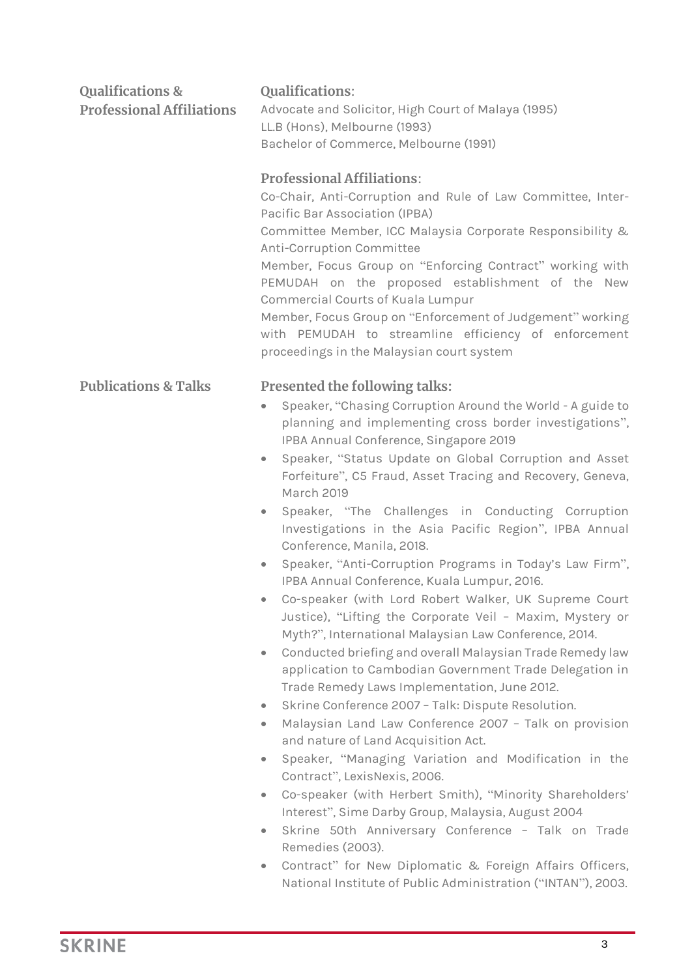| <b>Qualifications &amp;</b><br><b>Professional Affiliations</b> | <b>Qualifications:</b><br>Advocate and Solicitor, High Court of Malaya (1995)<br>LL.B (Hons), Melbourne (1993)<br>Bachelor of Commerce, Melbourne (1991)<br><b>Professional Affiliations:</b><br>Co-Chair, Anti-Corruption and Rule of Law Committee, Inter-<br>Pacific Bar Association (IPBA)<br>Committee Member, ICC Malaysia Corporate Responsibility &<br>Anti-Corruption Committee<br>Member, Focus Group on "Enforcing Contract" working with<br>PEMUDAH on the proposed establishment of the New<br>Commercial Courts of Kuala Lumpur<br>Member, Focus Group on "Enforcement of Judgement" working<br>with PEMUDAH to streamline efficiency of enforcement<br>proceedings in the Malaysian court system                                                                                                                                                                                                                                                                                                                                                                                                                                                                                                                                                                                                                                                                                                                                                                                                                                                                                                             |
|-----------------------------------------------------------------|-----------------------------------------------------------------------------------------------------------------------------------------------------------------------------------------------------------------------------------------------------------------------------------------------------------------------------------------------------------------------------------------------------------------------------------------------------------------------------------------------------------------------------------------------------------------------------------------------------------------------------------------------------------------------------------------------------------------------------------------------------------------------------------------------------------------------------------------------------------------------------------------------------------------------------------------------------------------------------------------------------------------------------------------------------------------------------------------------------------------------------------------------------------------------------------------------------------------------------------------------------------------------------------------------------------------------------------------------------------------------------------------------------------------------------------------------------------------------------------------------------------------------------------------------------------------------------------------------------------------------------|
| <b>Publications &amp; Talks</b>                                 | Presented the following talks:<br>Speaker, "Chasing Corruption Around the World - A guide to<br>۰<br>planning and implementing cross border investigations",<br>IPBA Annual Conference, Singapore 2019<br>Speaker, "Status Update on Global Corruption and Asset<br>$\bullet$<br>Forfeiture", C5 Fraud, Asset Tracing and Recovery, Geneva,<br><b>March 2019</b><br>Speaker, "The Challenges in Conducting Corruption<br>$\bullet$<br>Investigations in the Asia Pacific Region", IPBA Annual<br>Conference, Manila, 2018.<br>Speaker, "Anti-Corruption Programs in Today's Law Firm",<br>$\bullet$<br>IPBA Annual Conference, Kuala Lumpur, 2016.<br>Co-speaker (with Lord Robert Walker, UK Supreme Court<br>Justice), "Lifting the Corporate Veil - Maxim, Mystery or<br>Myth?", International Malaysian Law Conference, 2014.<br>Conducted briefing and overall Malaysian Trade Remedy law<br>۰<br>application to Cambodian Government Trade Delegation in<br>Trade Remedy Laws Implementation, June 2012.<br>Skrine Conference 2007 - Talk: Dispute Resolution.<br>$\bullet$<br>Malaysian Land Law Conference 2007 - Talk on provision<br>۰<br>and nature of Land Acquisition Act.<br>Speaker, "Managing Variation and Modification in the<br>۰<br>Contract", LexisNexis, 2006.<br>Co-speaker (with Herbert Smith), "Minority Shareholders'<br>۰<br>Interest", Sime Darby Group, Malaysia, August 2004<br>Skrine 50th Anniversary Conference - Talk on Trade<br>۰<br>Remedies (2003).<br>Contract" for New Diplomatic & Foreign Affairs Officers,<br>۰<br>National Institute of Public Administration ("INTAN"), 2003. |